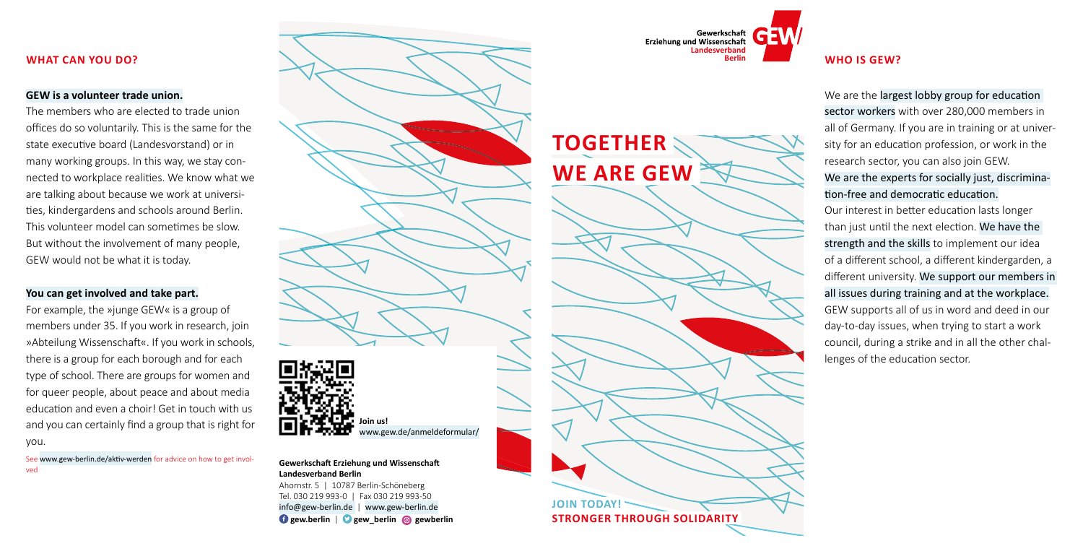# **WHO IS GEW?**

We are the largest lobby group for education sector workers with over 280,000 members in all of Germany. If you are in training or at university for an education profession, or work in the research sector, you can also join GEW.

We are the experts for socially just, discrimination-free and democratic education.



Our interest in better education lasts longer than just until the next election. We have the strength and the skills to implement our idea of a different school, a different kindergarden, a different university. We support our members in all issues during training and at the workplace. GEW supports all of us in word and deed in our day-to-day issues, when trying to start a work council, during a strike and in all the other challenges of the education sector.



#### **Gewerkschaft Erziehung und Wissenschaft Landesverband Berlin**

Ahornstr. 5 | 10787 Berlin-Schöneberg Tel. 030 219 993-0 | Fax 030 219 993-50 [info@gew-berlin.de](mailto:info%40gew-berlin.de%20?subject=) | [www.gew-berlin.de](http://www.gew-berlin.de)  **[gew.berlin](https://www.facebook.com/GEW.BERLIN)** | **[gew\\_berlin](https://twitter.com/GEW_BERLIN) [gewberlin](https://www.instagram.com/gewberlin/)**

## **WHAT CAN YOU DO?**

### **GEW is a volunteer trade union.**

The members who are elected to trade union offices do so voluntarily. This is the same for the state executive board (Landesvorstand) or in many working groups. In this way, we stay connected to workplace realities. We know what we are talking about because we work at universities, kindergardens and schools around Berlin. This volunteer model can sometimes be slow. But without the involvement of many people, GEW would not be what it is today.

## **You can get involved and take part.**

For example, the »junge GEW« is a group of members under 35. If you work in research, join »Abteilung Wissenschaft«. If you work in schools, there is a group for each borough and for each type of school. There are groups for women and for queer people, about peace and about media education and even a choir! Get in touch with us and you can certainly find a group that is right for you.

See [www.gew-berlin.de/aktiv-werden](http://www.gew-berlin.de/aktiv-werden) for advice on how to get involved